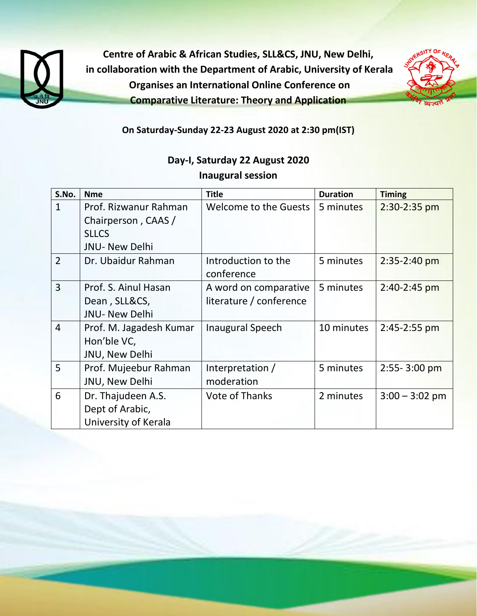

**Centre of Arabic & African Studies, SLL&CS, JNU, New Delhi, in collaboration with the Department of Arabic, University of Kerala Organises an International Online Conference on Comparative Literature: Theory and Application**



**On Saturday-Sunday 22-23 August 2020 at 2:30 pm(IST)**

## **Day-I, Saturday 22 August 2020 Inaugural session**

| S.No.          | <b>Nme</b>              | <b>Title</b>            | <b>Duration</b> | <b>Timing</b>    |
|----------------|-------------------------|-------------------------|-----------------|------------------|
| $\mathbf{1}$   | Prof. Rizwanur Rahman   | Welcome to the Guests   | 5 minutes       | 2:30-2:35 pm     |
|                | Chairperson, CAAS /     |                         |                 |                  |
|                | <b>SLLCS</b>            |                         |                 |                  |
|                | JNU- New Delhi          |                         |                 |                  |
| $\overline{2}$ | Dr. Ubaidur Rahman      | Introduction to the     | 5 minutes       | 2:35-2:40 pm     |
|                |                         | conference              |                 |                  |
| $\overline{3}$ | Prof. S. Ainul Hasan    | A word on comparative   | 5 minutes       | 2:40-2:45 pm     |
|                | Dean, SLL&CS,           | literature / conference |                 |                  |
|                | <b>JNU- New Delhi</b>   |                         |                 |                  |
| $\overline{4}$ | Prof. M. Jagadesh Kumar | <b>Inaugural Speech</b> | 10 minutes      | 2:45-2:55 pm     |
|                | Hon'ble VC,             |                         |                 |                  |
|                | JNU, New Delhi          |                         |                 |                  |
| 5              | Prof. Mujeebur Rahman   | Interpretation /        | 5 minutes       | 2:55-3:00 pm     |
|                | JNU, New Delhi          | moderation              |                 |                  |
| 6              | Dr. Thajudeen A.S.      | <b>Vote of Thanks</b>   | 2 minutes       | $3:00 - 3:02$ pm |
|                | Dept of Arabic,         |                         |                 |                  |
|                | University of Kerala    |                         |                 |                  |